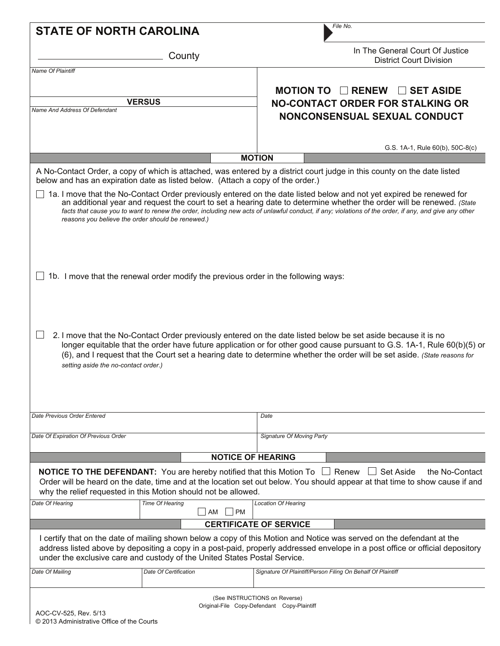| <b>STATE OF NORTH CAROLINA</b>       |                                                                                                                                                            | File No.                                                                                                                                                                                                                                                                                                                                                                                             |
|--------------------------------------|------------------------------------------------------------------------------------------------------------------------------------------------------------|------------------------------------------------------------------------------------------------------------------------------------------------------------------------------------------------------------------------------------------------------------------------------------------------------------------------------------------------------------------------------------------------------|
|                                      | County                                                                                                                                                     | In The General Court Of Justice<br><b>District Court Division</b>                                                                                                                                                                                                                                                                                                                                    |
| <b>Name Of Plaintiff</b>             |                                                                                                                                                            |                                                                                                                                                                                                                                                                                                                                                                                                      |
|                                      | <b>VERSUS</b>                                                                                                                                              | MOTION TO $\Box$ RENEW<br><b>SET ASIDE</b><br>$\Box$<br><b>NO-CONTACT ORDER FOR STALKING OR</b>                                                                                                                                                                                                                                                                                                      |
| Name And Address Of Defendant        |                                                                                                                                                            | <b>NONCONSENSUAL SEXUAL CONDUCT</b>                                                                                                                                                                                                                                                                                                                                                                  |
|                                      |                                                                                                                                                            |                                                                                                                                                                                                                                                                                                                                                                                                      |
|                                      |                                                                                                                                                            | G.S. 1A-1, Rule 60(b), 50C-8(c)                                                                                                                                                                                                                                                                                                                                                                      |
|                                      |                                                                                                                                                            | <b>MOTION</b>                                                                                                                                                                                                                                                                                                                                                                                        |
|                                      | below and has an expiration date as listed below. (Attach a copy of the order.)                                                                            | A No-Contact Order, a copy of which is attached, was entered by a district court judge in this county on the date listed                                                                                                                                                                                                                                                                             |
|                                      | reasons you believe the order should be renewed.)                                                                                                          | 1a. I move that the No-Contact Order previously entered on the date listed below and not yet expired be renewed for<br>an additional year and request the court to set a hearing date to determine whether the order will be renewed. (State<br>facts that cause you to want to renew the order, including new acts of unlawful conduct, if any; violations of the order, if any, and give any other |
|                                      | 1b. I move that the renewal order modify the previous order in the following ways:                                                                         |                                                                                                                                                                                                                                                                                                                                                                                                      |
| setting aside the no-contact order.) |                                                                                                                                                            | 2. I move that the No-Contact Order previously entered on the date listed below be set aside because it is no<br>longer equitable that the order have future application or for other good cause pursuant to G.S. 1A-1, Rule 60(b)(5) or<br>(6), and I request that the Court set a hearing date to determine whether the order will be set aside. (State reasons for                                |
| Date Previous Order Entered          |                                                                                                                                                            | Date                                                                                                                                                                                                                                                                                                                                                                                                 |
| Date Of Expiration Of Previous Order |                                                                                                                                                            | Signature Of Moving Party                                                                                                                                                                                                                                                                                                                                                                            |
|                                      |                                                                                                                                                            |                                                                                                                                                                                                                                                                                                                                                                                                      |
|                                      | <b>NOTICE OF HEARING</b>                                                                                                                                   |                                                                                                                                                                                                                                                                                                                                                                                                      |
|                                      | <b>NOTICE TO THE DEFENDANT:</b> You are hereby notified that this Motion To $\Box$ Renew<br>why the relief requested in this Motion should not be allowed. | $\Box$ Set Aside<br>the No-Contact<br>Order will be heard on the date, time and at the location set out below. You should appear at that time to show cause if and                                                                                                                                                                                                                                   |
| Date Of Hearing                      | Time Of Hearing<br><b>PM</b><br>AM                                                                                                                         | <b>Location Of Hearing</b>                                                                                                                                                                                                                                                                                                                                                                           |
|                                      |                                                                                                                                                            | <b>CERTIFICATE OF SERVICE</b>                                                                                                                                                                                                                                                                                                                                                                        |
|                                      | under the exclusive care and custody of the United States Postal Service.                                                                                  | I certify that on the date of mailing shown below a copy of this Motion and Notice was served on the defendant at the<br>address listed above by depositing a copy in a post-paid, properly addressed envelope in a post office or official depository                                                                                                                                               |
| Date Of Mailing                      | Date Of Certification                                                                                                                                      | Signature Of Plaintiff/Person Filing On Behalf Of Plaintiff                                                                                                                                                                                                                                                                                                                                          |
| AOC-CV-525, Rev. 5/13                |                                                                                                                                                            | (See INSTRUCTIONS on Reverse)<br>Original-File Copy-Defendant Copy-Plaintiff                                                                                                                                                                                                                                                                                                                         |

© 2013 Administrative Office of the Courts